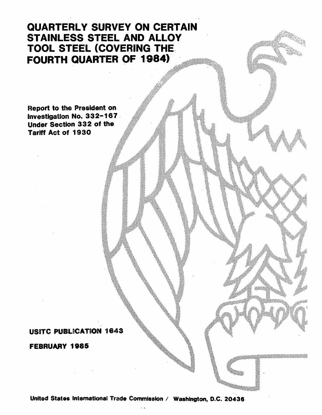## QUARTERLY SURVEY ON CERTAIN STAINLESS STEEL AND ALLOY TOOL STEEL (COVERING THE. FOURTH QUARTER OF 1984)

Report to the President on. Investigation No. 332-167 Under Section 3 3 2 of the Tariff Act of 1930

### USITC PUBLICATION 1643

FEBRUARY 1985

United States International Trade Commission / Washington, D.C. 20436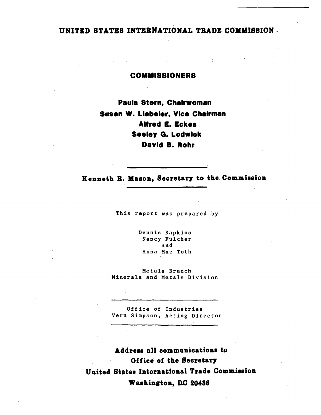## UNITED STATES INTERNATIONAL TRADE COMMISSION ·

### COMMISSIONERS

Paula Stern, Chairwoman Susan W. Llebeler, Vice Chairman . Alfred E. Eckee Seeley G. Lodwick David B. Rohr

Kenneth R. Mason, Secretary to the Commission

This report was prepared by

Dennis Rapkins Nancy Fulcher and Anna Mae Toth

Metals Branch Minerals and Metals Division

Office of Industries Vern Simpson, Acting Director

Address all communications to Office of the Secretary United States International Trade Commission Washington, DC 20436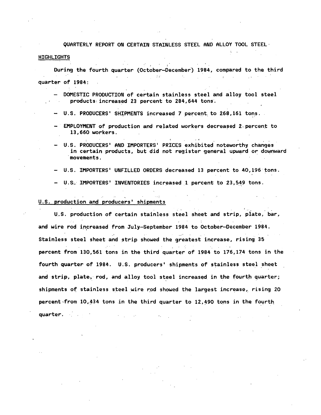QUARTERLY REPORT ON CERTAIN STAINLESS STEEL AND ALLOY TOOL STEEL·

#### HIGHLIGHTS

During the fourth quarter (October-December) 1984, compared to the third  $\alpha$  and  $\alpha$  . **Contract State**  $\Delta\omega$ and the company of the company of quarter of 1984:

, where  $\mathcal{L}_{\text{max}}$  is the  $\mathcal{L}_{\text{max}}$ 

DOMESTIC PRODUCTION of certain stainless steel and alloy tool steel  $products$ : increased 23 percent to 284, 644 tons.

- U.S. PRODUCERS' SHIPMENTS increased 7 percent to 268,161 tons.  $\overline{\phantom{a}}$
- EMPLOYMENT of production and related workers decreased 2. percent to 13,660 workers.
- U.S. PRODUCERS' AND IMPORTERS' PRICES exhibited noteworthy changes in certain products, but did not register general upward or downward ·movements.
- U.S. IMPORTERS' UNFILLED ORDERS decreased 13 percent to 40,196 tons.
- U.S.: IMPORTERS' INVENTORIES increased 1 percent to 23,549 tons.

#### U.S. production and producers' shipments

quarter.

.<br>U.S. production of certain stainless steel sheet and strip, plate, bar, and wire rod increased from July-September 1984 to October-December 1984. Stainless steel sheet and strip showed the greatest increase, rising 35 . . percent from 130,561 tons in the third quarter of 1984 to 176,174 tons in the fourth quarter of 1984. U.S. producers' shipments of stainless steel sheet and strip, plate, rod, and alloy tool steel increased in the fourth quarter; shipments of stainless steel wire rod showed the largest increase, rising 20 percent-from  $10,434$  tons in the third quarter to  $12,490$  tons in the fourth

 $\mathcal{L}^{\mathcal{L}}(\mathcal{L}^{\mathcal{L}})$  and  $\mathcal{L}^{\mathcal{L}}(\mathcal{L}^{\mathcal{L}})$  and  $\mathcal{L}^{\mathcal{L}}(\mathcal{L}^{\mathcal{L}})$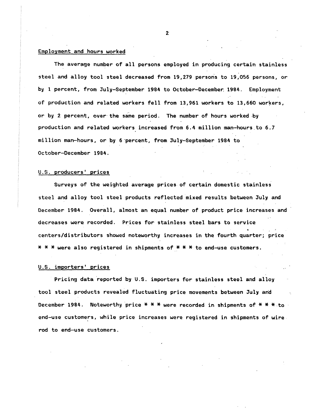#### Employment and hours worked

The average number of all persons employed in producing certain stainless steel and alloy tool steel decreased from 19,279 persons to 19,056 persons, or by 1 percent, from July-September 1984 to October-December 1984. Employment of production and related workers fell from 13,961 workers to 13,660 workers, or by 2 percent, over the same period. The number of hours worked ·by production and related workers increased from 6.4 million man-hours.to 6.7 million man-hours, or by 6·percent, from July-September 1984 to October-December 1984.

#### U.S. producers' prices

Surveys of the weighted average prices of certain domestic stainless steel and alloy tool steel products reflected mixed results between July and December 1984. Overall, almost an equal number of product price increases and decreases were recorded. Prices for stainless steel bars to service centers/distributors showed noteworthy increases in the fourth quarter; price  $* * *$  were also registered in shipments of  $* * *$  to end-use customers.

#### U.S. importers' prices

Pricing data reported by U.S. importers for stainless steel and alloy tool steel products revealed fluctuating price movements between July and December 1984. Noteworthy price \* \* \* were recorded in shipments of \* \* \* to end-use customers, while price increases were registered in shipments of wire rod to end-use customers.

 $2<sup>c</sup>$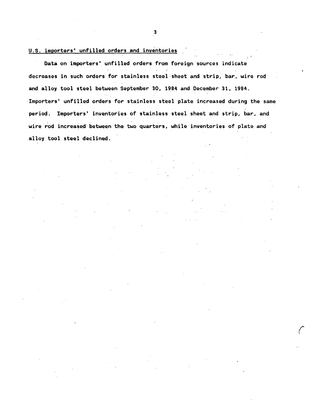#### U.S. importers' unfilled orders and inventories

Data on importers' unfilled orders from foreign sources indicate decreases in such orders for stainless steel-sheet and strip, bar, wire rod and alloy tool steel between September 30, 1984 and December 31, 1984. Importers' unfilled orders for stainless steel plate increased during the same period. Importers' inventories of stainless steel sheet and strip, bar, and wire rod increased between the two quarters, while inventories of plate and alloy tool steel declined.

> I  $\ddot{\phantom{a}}$

3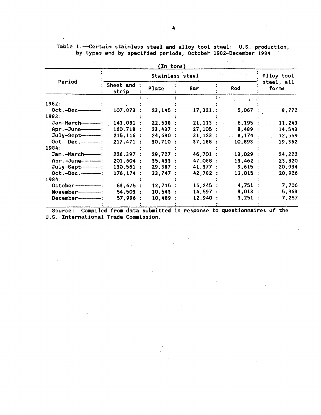|  |  | Table 1. Certain stainless steel and alloy tool steel: U.S. production, |  |  |  |  |
|--|--|-------------------------------------------------------------------------|--|--|--|--|
|  |  | by types and by specified periods, October 1982-December 1984           |  |  |  |  |

 $\sim 10^{-11}$ 

 $\sim 10$ 

 $\mathcal{A}$ 

 $\alpha$ 

 $\mathcal{A}$ 

 $\sim 100$ 

 $\mathcal{L}^{\text{max}}_{\text{max}}$ 

 $\mathcal{L}(\mathcal{A})$  and  $\mathcal{L}(\mathcal{A})$  .

|                         |                      | (In tons)  |            |                    |                     |
|-------------------------|----------------------|------------|------------|--------------------|---------------------|
|                         |                      |            | Alloy tool |                    |                     |
| Period                  | Sheet and :<br>strip | Plate      | Bar        | Rod                | steel, all<br>forms |
|                         |                      |            |            |                    |                     |
| 1982:                   |                      |            |            |                    |                     |
| $Oct.-Dec$ — $$         | $107,873$ :          | 23,145:    | 17,321:    | 5,067              | 8,772               |
| 1983:                   |                      |            |            |                    |                     |
| Jan-March-----------    | $143,081$ :          | 22,538:    |            | $21,113$ : 6,195 : | 11,243              |
| $Apr.-June$ :           | $160,718$ :          | 23,437:    | 27,105:    | 8,489:             | 14,543              |
|                         | $215, 116$ :         | 24,690:    |            | $31,123$ : 8,174:  | 12,559              |
| $Oct.-Dec.\_$ .         | 217,471:             | 30,710:    | 37,188:    | $10,893$ :         | 19,362              |
| 1984:                   |                      |            |            |                    |                     |
| Jan.-March-----         | 226,397:             | 29,727:    | 46,701 :   | 13,029:            | 24,222              |
| Apr.-June-------        | 201,604 :            | 35,433:    | 47,088 :   | 13,462:            | 23,820              |
| $July-Sept$             | 130,561:             | 29,387:    | 41,377 :   | 9,615:             | 20,934              |
| $Oct.-Dec.$             | 176, 174:            | 33,747:    | 42,782 :   | 11,015:            | 20,926              |
| 1984:                   |                      |            |            |                    |                     |
|                         | 63,675:              | 12,715:    | 15,245:    | 4,751:             | 7,706               |
| November--------------- | 54,503:              | $10,543$ : | 14,597:    | $3,013$ :          | 5,963               |
| December--------------- | 57,996:              | 10,489:    | 12,940:    | 3,251:             | 7,257               |

Source: Compiled from data submitted in response to questionnaires of the U.S. International Trade Commission.

 $\sim 15$ 

 $\sim$ 

 $\sim 10$ 

 $\sim$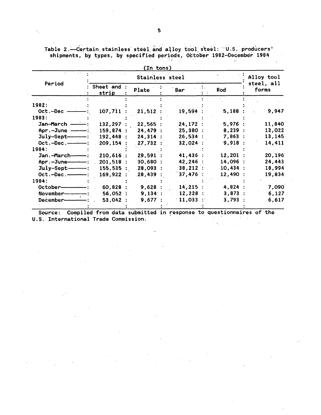|                    |                    | (In tons)  |            |            |                     |
|--------------------|--------------------|------------|------------|------------|---------------------|
|                    |                    | Alloy tool |            |            |                     |
| Period             | Sheet and<br>strip | Plate      | Bar        | Rod        | steel, all<br>forms |
| 1982:              |                    |            |            |            |                     |
| Oct.-Dec           | 107,711            | 21,512     | 19,594     | 5,188:     | 9,947               |
| 1983:              |                    |            |            |            |                     |
| Jan-March ------   | 132,297            | 22,565:    | 24,172:    | 5,976:     | 11,840              |
| $Apr.-June$ -----: | 159,874:           | 24,479:    | 25,380:    | 8,239:     | 13,022              |
| $July-Sept-$ :     | 192,448            | 24,314:    | $26,534$ : | 7,863:     | 13,145              |
| $Oct.-Dec.\_$ .    | 209,154            | 27,732     | 32,024:    | 9,918:     | 14,411              |
| 1984:              |                    |            |            |            |                     |
| Jan.-March----     | 210,616:           | 29,591 :   | 41,436 :   | 12,201:    | 20,196              |
| Apr.-June-----     | 201,518:           | 30,680:    | 42,246 :   | 14,096 :   | 24,443              |
|                    | 155,535:           | 28,093:    | 38,212:    | $10,434$ : | 18,994              |
|                    | 169,922:           | .28,439    | 37,476:    | 12,490:    | 19,834              |
| 1984:              |                    |            |            |            |                     |
| October-           | 60,828:            | 9,628:     | 14,215:    | 4,824:     | 7,090               |
| November---        | 56,052:            | $9,134$ :  | 12,228:    | 3,873:     | 6,127               |
| December-          | 53,042:            | 9,677:     | 11,033     | 3,793:     | 6,617               |
|                    |                    |            |            |            |                     |

Table 2.—Certain stainless steel and alloy tool steel: U.S. producers'<br>shipments, by types, by specified periods, October 1982-December 1984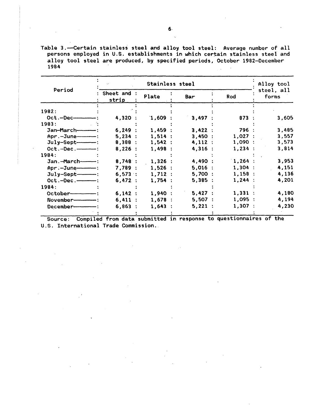Table 3.--Certain stainless steel and alloy tool steel: Average number of all persons employed in U.S. establishments in which certain stainless steel and alloy tool steel are produced, by specified periods, October 1982-December 1984  $\sim$ 

|                      |                      | Alloy tool |           |            |                     |
|----------------------|----------------------|------------|-----------|------------|---------------------|
| Period               | : Sheet and<br>strip | Plate      | Bar       | <b>Rod</b> | steel, all<br>forms |
| 1982:                |                      |            |           |            |                     |
| $Oct.-Dec$           | 4,320 :              | 1,609:     | 3,497     | 873:       | 3,605               |
| 1983:                |                      |            |           |            |                     |
| Jan-March----------  | 6,249:               | 1,459:     | 3,422:    | 796 :      | 3,485               |
| Apr.-June--------    | 5,234:               | 1,514:     | 3,450:    | 1,027:     | 3,557               |
| $July-September-$ :  | 8,388:               | 1,542:     | 4,112:    | 1,090:     | 3,573               |
|                      | 8,226:               | 1,498:     | 4,316:    | 1,234:     | 3,814               |
| 1984:                |                      |            |           |            |                     |
| Jan.-March------     | 8,748:               | $1,326$ :  | 4,490 :   | $1,264$ :  | 3,953               |
|                      | 7.789:               | 1.526:     | $5,016$ : | 1,304:     | 4,151               |
|                      | 6,573:               | 1,712:     | 5,700:    | 1,158:     | 4,136               |
| $Oct.-Dec.$ ————:    | 6,472:               | 1,754:     | 5,385:    | 1,244:     | 4,201               |
| 1984:                |                      |            |           |            |                     |
| $October$ :          | 6,142:               | 1,940:     | 5,427:    | 1,331:     | 4,180               |
| November------------ | 6,411:               | 1,678:     | 5,507:    | 1,095:     | 4,194               |
|                      | 6,863:               | 1,643:     | 5,221:    | 1,307:     | 4,230               |
|                      |                      |            |           |            |                     |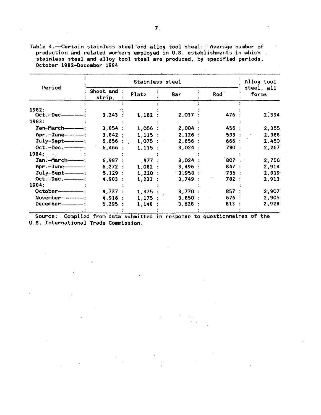Table 4.-Certain stainless steel and alloy tool steel: Average number of production and related workers employed in U.S. establishments in which stainless steel and alloy tool steel are produced, by specified periods, October 1982-December 1984

|                       |                    | Alloy tool |           |          |                     |
|-----------------------|--------------------|------------|-----------|----------|---------------------|
| Period                | Sheet and<br>strip | Plate      | Bar       | Rod      | steel, all<br>forms |
| 1982:                 |                    |            |           |          |                     |
| $Oct.-Dec$            | 3,243:             | 1,162:     | 2,037:    | 476 :    | 2,394               |
| 1983:                 |                    |            |           |          |                     |
| Jan-March------------ | 3,854:             | 1,056:     | 2,004:    | 456 :    | 2,355               |
|                       | 3,842:             | $1,115$ :  | 2,126:    | 598:     | 2,388               |
| $July-Sept$ — :       | $6,656$ :          | $1,075$ :  | 2,656:    | 666 :    | 2,450               |
| $Oct.-Dec.$ ————:     | 6,466:             | $1,115$ :  | 3,024:    | 780 :    | 2,267               |
| 1984:                 |                    |            |           |          |                     |
| Jan.-March---------   | 6,987:             | 977:       | $3,024$ : | 807 :    | 2,756               |
|                       | 6,272:             | 1,082:     | 3,496:    | 847 :    | 2,914               |
| $July-Sept-$ :        | 5,129:             | $1,220$ :  | $3,958$ : | $-735$ : | 2,919               |
| $Oct.-Dec.\n---:$     | 4,983:             | 1,233:     | 3,749:    | 782 :    | 2,913               |
| 1984:                 |                    |            |           |          |                     |
| $October$ :           | 4,737:             | 1,375:     | 3,770:    | 857:     | 2,907               |
|                       | 4,916:             | 1.175:     | 3,850:    | 676:     | 2,905               |
| December—             | 5,295:             | 1,148      | 3,628:    | 813:     | 2,928               |
|                       |                    |            |           |          |                     |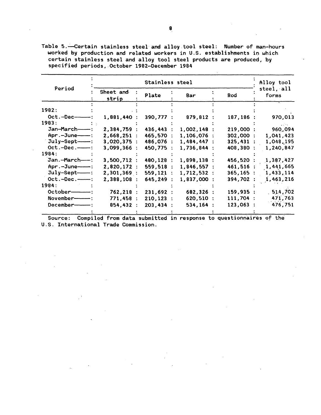Table 5.--Certain stainless steel and alloy tool steel: Number of man-hours worked by production and related workers in U.S. establishments in which certain stainless steel and alloy tool steel products are produced, by specified periods, .October 1982-0ecember 1984

|                     |                    | Alloy tool |               |           |                     |
|---------------------|--------------------|------------|---------------|-----------|---------------------|
| Period              | Sheet and<br>strip | Plate      | Bar           | Rod       | steel, all<br>forms |
| 1982:               |                    |            |               |           |                     |
| $Oct.-Dec$ $-$ :    | 1,881,440          | 390,777    | 879,812       | 187,186   | 970,013             |
| 1983:               |                    |            |               |           |                     |
| Jan-March-          | 2,384,759 :        | 436,443    | 1,002,148     | 219,000:  | 960,094             |
| $Apr.-June$ :       | 2,668,251:         | 465,570    | 1,106,076     | 302,000:  | 1,041,423           |
| $July-Sept---:$     | 3,020,375:         | 486,076    | 1,484,447     | 325,431:  | 1,048,195           |
| $Oct.-Dec.$ ----    | 3,099,366          | 450,775    | $1,736,844$ : | 408,380 : | 1,240,847           |
| 1984:               |                    |            |               |           |                     |
| Jan.-March---:      | 3,500,712:         | 480,128    | 1,898,138     | 456,520   | 1,387,427           |
| Apr.-June---        | 2,820,172 :        | 559,518    | 1,846,557:    | 461,516 : | 1,441,665           |
| July-Sept----       | 2,301,369:         | 559,121    | 1,712,532:    | 365, 165: | 1,433,114           |
| $Oct.-Dec.$         | 2,388,108 :        | 645,249    | 1,837,000 :   | 394,702 : | 1,463,216           |
| 1984:               |                    |            |               |           |                     |
|                     | 762, 218:          | 231,692 :  | 682,326 :     | 159,935:  | 514,702             |
| $Nowember$ $\cdots$ | 771,458 :          | 210,123    | 620,510 :     | 111,704 : | 471,763             |
|                     | 854,432:           | 203,434    | 534,164       | 123,063:  | 476,751             |
|                     |                    |            |               |           |                     |

 $\ddot{\phantom{a}}$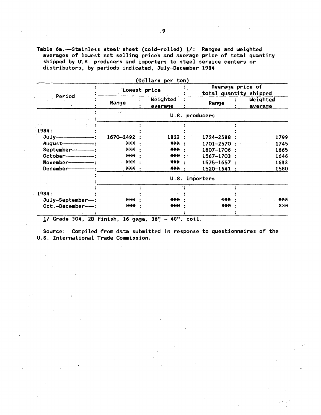Table  $6a.$ -Stainless steel sheet (cold-rolled)  $1/$ : Ranges and weighted averages of lowest net selling prices and average price of total quantity shipped by U.S. producers and importers to steel service centers or distributors, by periods indicated, July-December 1984

|                     | Lowest price                            |                        |  | Average price of<br>total quantity shipped |  |                     |  |
|---------------------|-----------------------------------------|------------------------|--|--------------------------------------------|--|---------------------|--|
| Period              | Range                                   | Weighted<br>average    |  | Range                                      |  | Weighted<br>average |  |
|                     |                                         |                        |  | U.S. producers                             |  |                     |  |
|                     |                                         |                        |  |                                            |  |                     |  |
| 1984:               |                                         |                        |  |                                            |  |                     |  |
|                     | 1670-2492                               | 1823                   |  | 1724-2588                                  |  | 1799                |  |
|                     | $***$                                   | *** :                  |  | 1701-2570 :                                |  | 1745                |  |
| September-------    | $***$                                   | *** ·                  |  | 1607-1706 :                                |  | 1665                |  |
| October-----------  | $***$                                   |                        |  | $1567 - 1703$ :                            |  | 1646                |  |
|                     | $***$                                   | *** :                  |  | $1575 - 1657$ :                            |  | 1633                |  |
| December----------- | $\star\star\star$                       | $\star\star\star$ .    |  | 1520-1641 :                                |  | 1580                |  |
|                     |                                         |                        |  | U.S. importers                             |  |                     |  |
|                     |                                         |                        |  |                                            |  |                     |  |
| 1984:               |                                         |                        |  |                                            |  |                     |  |
| $July-September-$ : | $***$                                   | <del>xxx</del>         |  | $***$                                      |  | $***$               |  |
| Oct.-December--     | $***$                                   | $\star\star\star$      |  | $***$                                      |  | X X X               |  |
| 1101.01             | $AD = B = A + B$<br>$\bullet$ $\bullet$ | 62 H.<br><b>A-0.18</b> |  | 2.1                                        |  |                     |  |

 $(20.22)$ 

 $1/$  Grade 304, 2B finish, 16 gage, 36" - 48", coil.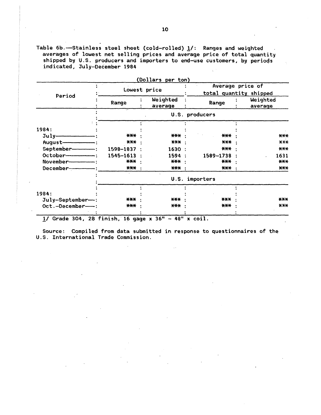Table  $6b$ .-Stainless steel sheet (cold-rolled)  $1/$ : Ranges and weighted  $\sim$ averages of lowest net selling prices and average price of total quantity shipped by U.S. producers and importers to end-use customers, by periods indicated, July-December 1984

|                       | Lowest price |  |                     | Average price of<br>total quantity shipped |                   |  |                     |
|-----------------------|--------------|--|---------------------|--------------------------------------------|-------------------|--|---------------------|
| Period                | Range        |  | Weighted<br>average |                                            | Range             |  | Weighted<br>average |
|                       |              |  |                     |                                            | U.S. producers    |  |                     |
|                       |              |  |                     |                                            |                   |  |                     |
| 1984:                 |              |  |                     |                                            |                   |  |                     |
| $July$ $\frac{1}{1}$  | $***$        |  | *** :               |                                            | $***$             |  | $***$               |
|                       | ***          |  | $\star\star\star$   |                                            | $***$             |  | $X$ $X$ $X$         |
| September------       | 1598-1837 :  |  | 1630 :              |                                            | $***$             |  | $***$               |
| $October$ :           | 1545-1613    |  | 1594 :              |                                            | 1589-1738         |  | 1631                |
| November------------- | $***$        |  | *** :               |                                            | $\star\star\star$ |  | $***$               |
|                       | <b>***</b> : |  | *** :               |                                            | <b>XXX :</b>      |  | $***$               |
|                       |              |  |                     |                                            | U.S. importers    |  |                     |
|                       |              |  |                     |                                            |                   |  |                     |
| 1984:                 |              |  |                     |                                            |                   |  |                     |
| July-September-:      | ***          |  | ***                 |                                            | $***$             |  | $\star\star\star$   |
| Oct.-December-        | $***$        |  | $\star\star\star$   |                                            | $***$             |  | X X X               |
|                       |              |  |                     |                                            |                   |  |                     |

Source: Compiled from data submitted in response to questionnaires of the U.S. International Trade Commission.

1/ Grade 304, 2B finish, 16 gage x 36" - 48" x coil.

# $(n-1)$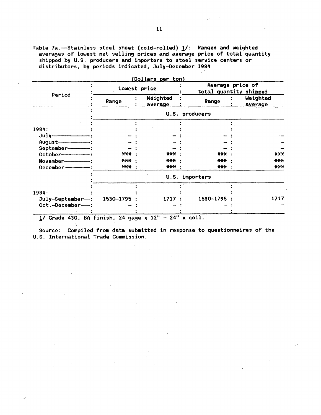Table 7a.-Stainless steel sheet (cold-rolled) 1/: Ranges and weighted averages of lowest net selling prices and average price of total quantity shipped by U.S. producers and importers to steel service centers or distributors, by periods indicated, July-December 1984

|                       |                   | (Dollars per ton)   |                                            |  |                     |  |
|-----------------------|-------------------|---------------------|--------------------------------------------|--|---------------------|--|
|                       | Lowest price      |                     | Average price of<br>total quantity shipped |  |                     |  |
| Period                | Range             | Weighted<br>average | Range                                      |  | Weighted<br>average |  |
|                       |                   |                     | U.S. producers                             |  |                     |  |
|                       |                   |                     |                                            |  |                     |  |
| 1984:                 |                   |                     |                                            |  |                     |  |
| $J \cup l \cup$       |                   |                     |                                            |  |                     |  |
|                       |                   |                     |                                            |  |                     |  |
| September-            |                   |                     |                                            |  |                     |  |
|                       | $\star\star\star$ | $***$               | $\star\star\star$                          |  | $X$ $X+$            |  |
| November------------- | *** ·             | $***$               | ***                                        |  | $***$               |  |
|                       | *** :             | ***                 | *** :                                      |  | $\star\star\star$   |  |
|                       |                   |                     | U.S. importers                             |  |                     |  |
|                       |                   |                     |                                            |  |                     |  |
| 1984:                 |                   |                     |                                            |  |                     |  |
| July-September-:      | 1530–1795         | 1717                | 1530-1795                                  |  | 1717                |  |
| Oct.-December--:      |                   |                     |                                            |  |                     |  |
|                       |                   |                     | $\sim$                                     |  |                     |  |

 $1/$  Grade 430, BA finish, 24 gage x  $12'' - 24''$  x coil.

 $\sim 100$ 

 $\mathbf{v}$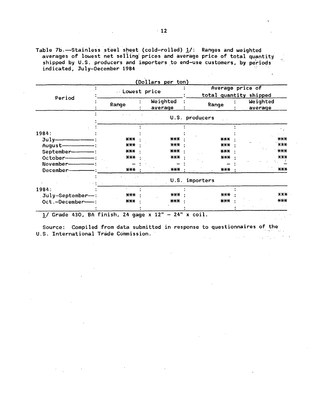Table 7b.-Stainless steel sheet (cold-rolled)  $\frac{1}{i}$ : Ranges and weighted<br>averages of lowest net selling prices and average price of total quantity shipped by U.S. producers and importers to end-use customers, by periods indicated, July-December 1984

 $\sim$   $^{\circ}$ 

|                   | Underst price     |                     | (Dollars per ton)<br>Average price of<br>total quantity shipped |                     |  |  |
|-------------------|-------------------|---------------------|-----------------------------------------------------------------|---------------------|--|--|
| Period            | Range             | Weighted<br>average | Range                                                           | Weighted<br>average |  |  |
|                   |                   |                     | U.S. producers                                                  |                     |  |  |
|                   |                   |                     |                                                                 |                     |  |  |
| 1984:             |                   |                     |                                                                 |                     |  |  |
|                   | $***$             | $***$               | $***$                                                           | $***$               |  |  |
|                   | $***$             | ***                 | $\star\star\star$                                               | $X^*$               |  |  |
| September-------  | $\star\star\star$ | *** :               | $***$                                                           | $\star\star\star$   |  |  |
|                   | ***               | $\star$ X $\star$   | $***$                                                           | $X-X$               |  |  |
| November-         |                   |                     |                                                                 |                     |  |  |
| December-         | $\star\star\star$ | . <del>XXX</del>    | *** :                                                           | $\star\star\star$   |  |  |
|                   |                   |                     | U.S. importers                                                  |                     |  |  |
| 1984:             |                   |                     |                                                                 |                     |  |  |
| July-September--: | $***$             | $X$ $X$ $X$         | $\star\star\star$                                               | X X X               |  |  |
| Oct.-December-    | $\star\star\star$ | $\star\star\star$   | $\star\star\star$                                               | $***$               |  |  |
|                   |                   |                     |                                                                 |                     |  |  |

Source: Compiled from data submitted in response to questionnaires of the U.S. International Trade Commission.  $\Delta \sim 10^{-10}$  $\label{eq:2} \mathcal{L}(\mathcal{L}(\mathcal{L}(\mathcal{L}(\mathcal{L}(\mathcal{L}(\mathcal{L}(\mathcal{L}(\mathcal{L}(\mathcal{L}(\mathcal{L}(\mathcal{L}(\mathcal{L}(\mathcal{L}(\mathcal{L}(\mathcal{L}(\mathcal{L}(\mathcal{L}(\mathcal{L}(\mathcal{L}(\mathcal{L}(\mathcal{L}(\mathcal{L}(\mathcal{L}(\mathcal{L}(\mathcal{L}(\mathcal{L}(\mathcal{L}(\mathcal{L}(\mathcal{L}(\mathcal{L}(\mathcal{L}(\mathcal{L}(\mathcal{L}(\mathcal{L}(\mathcal$ 

- 
- 

 $\bar{ }$ 

 $\sim$   $\sim$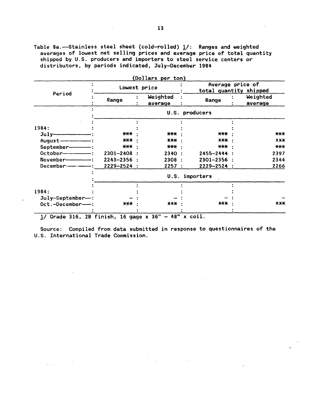Table 8a.-Stainless steel sheet (cold-rolled)  $\underline{1}/$ : Ranges and weighted averages of lowest net selling prices and average price of total quantity shipped by U.S. producers and importers to steel service centers or distributors, by periods indicated, July-December 1984

|                         | Lowest price    |                     | (Dollars per ton)<br>Average price of<br>total quantity shipped |  |                     |
|-------------------------|-----------------|---------------------|-----------------------------------------------------------------|--|---------------------|
| Period                  | Range           | Weighted<br>average | Range                                                           |  | Weighted<br>average |
|                         |                 |                     | U.S. producers                                                  |  |                     |
|                         |                 |                     |                                                                 |  |                     |
| 1984:                   |                 |                     |                                                                 |  |                     |
|                         | ***             | $***$               | $***$                                                           |  | $***$               |
|                         | $X+X$           | $***$               | $\star \star \star$                                             |  | X X X               |
| September-              | *** ·           | *** :               | ***                                                             |  | $***$               |
|                         | $2301 - 2408$ : | 2340:               | 2455-2444 :                                                     |  | 2397                |
| November--------------- | $2243 - 2356$ : | 2308 :              | $2301 - 2356$ :                                                 |  | 2344                |
| December-------------   | $2229 - 2524 :$ | 2257:               | $2229 - 2524$ :                                                 |  | 2266                |
|                         |                 |                     | U.S. importers                                                  |  |                     |
|                         |                 |                     |                                                                 |  |                     |
| 1984:                   |                 |                     |                                                                 |  |                     |
| $July-September--:$     |                 |                     |                                                                 |  |                     |
| $Oct.-December--:$      | ***             | $***$               | <b>XXX</b>                                                      |  | $X X +$             |

Source: Compiled from data submitted in response to questionnaires of the U.S. International Trade Commission.

 $\omega_{\rm{max}}$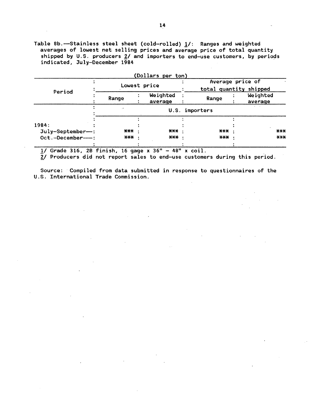Table 8b.-Stainless steel sheet (cold-rolled) 1/: Ranges and weighted averages of lowest net selling prices and average price of total quantity shipped by U.S. producers  $2/$  and importers to end-use customers, by periods indicated, July-December 1984

|             | Weighted<br>average<br>U.S. | total quantity shipped<br>Range | Weighted<br>average        |             |
|-------------|-----------------------------|---------------------------------|----------------------------|-------------|
|             |                             |                                 |                            |             |
|             |                             | importers                       |                            |             |
|             |                             |                                 |                            |             |
| *** ·       |                             |                                 |                            | $***$       |
| $X^*$ $X^*$ |                             |                                 |                            | $X$ $X$ $X$ |
|             |                             | $\star\star\star$<br>*** ·      | $\star\star\star$<br>$***$ |             |

 $(n-1)$ 

*11* Grade 316, 28 finish, 16 gage x 36" - 48" x coil.

 $\bar{z}$ 

 $\ddot{\phantom{a}}$ 

2/ Producers did not report sales to end-use customers during this period.

Source: Compiled from data submitted in response to questionnaires of the U.S. International Trade Commission.

 $\sim 100$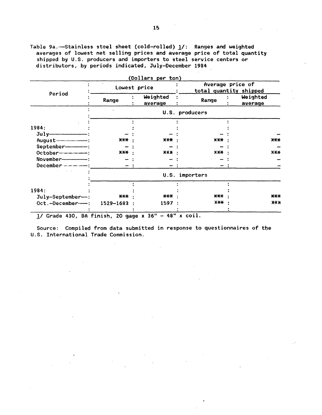Table 9a.-Stainless steel sheet (cold-rolled) 1/: Ranges and weighted averages of lowest net selling prices and average price of total quantity shipped by U.S. producers and importers to steel service centers or distributors, by periods indicated, July-December 1984

|                                                        |                   | (Dollars per ton)   |                 |                                            |  |  |  |
|--------------------------------------------------------|-------------------|---------------------|-----------------|--------------------------------------------|--|--|--|
|                                                        | Lowest price      |                     |                 | Average price of<br>total quantity shipped |  |  |  |
| Period                                                 | Range             | Weighted<br>average | Range           | Weighted<br>average                        |  |  |  |
|                                                        |                   |                     | U.S. producers  |                                            |  |  |  |
| 1984:                                                  |                   |                     |                 |                                            |  |  |  |
|                                                        |                   |                     |                 |                                            |  |  |  |
|                                                        | $***$             | <b>XXX .</b>        | $X-X$           | $X+X$                                      |  |  |  |
| September--------                                      |                   |                     |                 |                                            |  |  |  |
| October-------------                                   | $X+X$             | X X X               | $X+X$           | $X-X$                                      |  |  |  |
|                                                        |                   |                     |                 |                                            |  |  |  |
|                                                        |                   |                     |                 |                                            |  |  |  |
|                                                        |                   |                     | U.S. importers  |                                            |  |  |  |
|                                                        |                   |                     |                 |                                            |  |  |  |
| 1984:                                                  |                   |                     |                 |                                            |  |  |  |
| July-September-:                                       | $\star\star\star$ | ***                 | $***$           | ***                                        |  |  |  |
| Oct.-December---: 1529-1683 :                          |                   | 1597:               | X <del>XX</del> | $X+X$                                      |  |  |  |
| $1/$ Grade 430, BA finish, 20 gage x 36" - 48" x coil. |                   |                     |                 |                                            |  |  |  |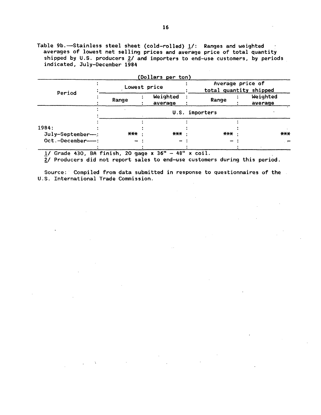Table 9b.—Stainless steel sheet (cold-rolled)  $1/$ : Ranges and weighted averages of lowest net selling prices and average price of total quantity shipped by U.S. producers 2/ and importers to end-use customers, by periods indicated, July-December 1984

|                    |       | (Dollars per ton)   |                |       |                                            |                  |
|--------------------|-------|---------------------|----------------|-------|--------------------------------------------|------------------|
| Period             |       | Lowest price        |                |       | Average price of<br>total quantity shipped |                  |
|                    | Range | Weighted<br>average | Range          |       | Weighted<br>average                        |                  |
|                    |       |                     | U.S. importers |       |                                            |                  |
| 1984:              |       |                     |                |       |                                            |                  |
| July-September---: | $***$ | ***                 |                | $***$ |                                            | $***$            |
| Oct.-December--    |       |                     |                |       |                                            | . <del>. .</del> |
|                    |       |                     |                |       |                                            |                  |

 $1/$  Grade 430, BA finish, 20 gage x 36" - 48" x coil.

 $\frac{1}{2} \left( \frac{1}{2} \right) \left( \frac{1}{2} \right) \left( \frac{1}{2} \right) \left( \frac{1}{2} \right) \left( \frac{1}{2} \right)$ 

2/ Producers did not report sales to end-use customers during this period.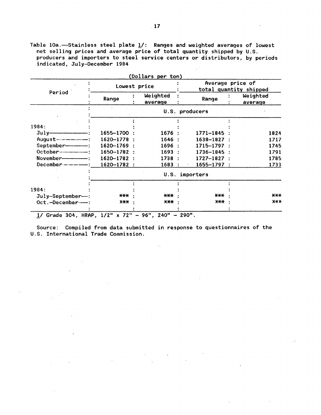Table 10a.-Stainless steel plate  $1/$ : Ranges and weighted averages of lowest net selling prices and average price of total quantity shipped by U.S. producers and importers to steel service centers or distributors, by periods indicated, July-December 1984  $\mathcal{L}^{(1)}$ 

| Period                   | Lowest price    |                     |                 | Average price of<br>total quantity shipped |  |  |
|--------------------------|-----------------|---------------------|-----------------|--------------------------------------------|--|--|
|                          | Range           | Weighted<br>average | Range           | Weighted<br>average                        |  |  |
|                          |                 |                     | U.S. producers  |                                            |  |  |
|                          |                 |                     |                 |                                            |  |  |
| 1984:                    |                 |                     |                 |                                            |  |  |
| $July$ $\longrightarrow$ | 1655-1700 :     | 1676:               | 1771-1845       | 1824                                       |  |  |
| $August$ $--  -$         | $1620 - 1778$ : | 1646 :              | $1638 - 1827$ : | 1717                                       |  |  |
| September------          | 1620-1769 :     | 1696 :              | $1715 - 1797$ : | 1745                                       |  |  |
|                          | $1650 - 1782$ : | 1693:               | $1736 - 1845$ : | 1791                                       |  |  |
|                          | 1620-1782 :     | 1738:               | $1727 - 1827$ : | 1785                                       |  |  |
|                          | 1620-1782 :     | 1683                | $1655 - 1797$ : | 1733                                       |  |  |
|                          |                 |                     | U.S. importers  |                                            |  |  |
|                          |                 |                     |                 |                                            |  |  |
| 1984:                    |                 |                     |                 |                                            |  |  |
| July-September-:         | $***$           | $***$               | $***$           | $***$                                      |  |  |
| Oct.-December---:        | X <del>XX</del> | <b>XXX :</b>        | $X+X$           | $X+X$                                      |  |  |

 $\mathcal{L}^{\text{max}}$ 

 $\mathcal{L}$ 

 $\sim$ 

 $\sim 10$ 

 $\sim 10$ 

 $\sim 10^7$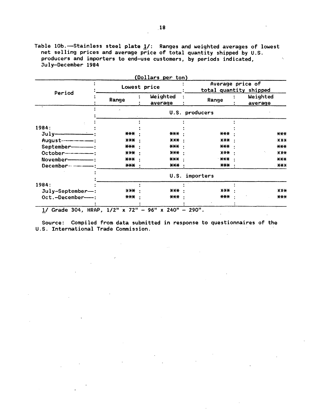Table  $10b$ .-Stainless steel plate  $1/$ : Ranges and weighted averages of lowest net selling prices and average price of total quantity shipped by  $U.S.$ producers and importers to end-use customers, by periods indicated, July-December 1984

|                                                  | Lowest price |                     | (Dollars per ton)<br>Average price of<br>total quantity shipped |                           |  |
|--------------------------------------------------|--------------|---------------------|-----------------------------------------------------------------|---------------------------|--|
| Period                                           | Range        | Weighted<br>average | Range                                                           | Weighted<br>average       |  |
|                                                  |              |                     | U.S. producers                                                  |                           |  |
|                                                  |              |                     |                                                                 |                           |  |
| 1984:                                            |              |                     |                                                                 |                           |  |
| $July$ $\longrightarrow$                         | ***          | ***                 | ***                                                             | $***$                     |  |
|                                                  | <b>XXX :</b> | $***$ :             | $***$                                                           | X X X                     |  |
| September------                                  | ***          | *** ·               | ***                                                             | $***$                     |  |
| October--------------                            | $***$        | *** ·               | $X+X$                                                           | $X X +$                   |  |
| November-                                        | *** :        | $\star\star\star$   | $***$                                                           | $***$                     |  |
| December ---------------                         | *** ·        | ***                 | $***$                                                           | $\mathbf{X} + \mathbf{X}$ |  |
|                                                  |              |                     | U.S. importers                                                  |                           |  |
| 1984:                                            |              |                     |                                                                 |                           |  |
| $July-September-$ :                              | $XY + Y$     | $***$               | X X X                                                           | <b>XXX</b>                |  |
| Oct.-December---:                                | $***$        | ***                 | $***$                                                           | $***$                     |  |
| Grade 304, HRAP, 1/2" x 72" - 96" x 240" - 290". |              |                     |                                                                 |                           |  |

 $\bar{z}$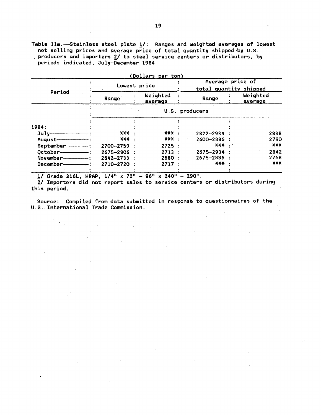Table 11a.-Stainless steel plate  $1/$ : Ranges and weighted averages of lowest net selling prices and average price of total quantity shipped by U.S. producers and importers 2/ to steel service centers or distributors, by periods indicated, July-December 1984

| Period     |                | (Dollars per ton)<br>Lowest price |                                    |  | Average price of<br>total quantity shipped |
|------------|----------------|-----------------------------------|------------------------------------|--|--------------------------------------------|
|            | Range          | Weighted<br>average               | Range                              |  | Weighted<br>average                        |
|            |                |                                   | U.S. producers                     |  |                                            |
|            |                |                                   |                                    |  |                                            |
| 1984:      |                |                                   |                                    |  |                                            |
| Julu       | ***            | *** :                             | $2822 - 2934$ :                    |  | 2898                                       |
| August-    | *** ·          | *** ·                             | 2600-2886 :                        |  | 2790                                       |
| September- | 2700-2759 :    | 2725                              | $\star\star\star$ .                |  | $***$                                      |
| October-   | 2675-2806 :    | 2713:                             | $2675 - 2934$ :                    |  | 2842                                       |
| November-  | $2642 - 2733:$ | 2680:                             | $2675 - 2886$ :                    |  | 2768                                       |
| December-  | 2710-2720 :    | 2717:                             | $\star\!\!\star\!\!\star\!\!\star$ |  | $X X +$                                    |

 $1/$  Grade 316L, HRAP,  $1/4''$  x 72" - 96" x 240" - 290".

 $2/$  Importers did not report sales to service centers or distributors during this period.  $\sim$  4.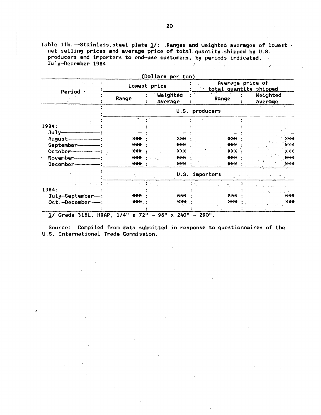Table 11b.--Stainless steel plate  $1/$ : Ranges and weighted averages of lowest net selling prices and average price of total quantity shipped by U.S. producers and importers to end-use customers, by periods indicated, July-December 1984  $\sim 10^{-10}$  $\sim$ **Contract Contract** 

|                     | Lowest price      | (Dollars per ton)   | Average price of<br>total quantity shipped |                     |  |  |
|---------------------|-------------------|---------------------|--------------------------------------------|---------------------|--|--|
| Period              | Range             | Weighted<br>average | Range                                      | Weighted<br>average |  |  |
|                     |                   |                     | U.S. producers                             |                     |  |  |
|                     |                   |                     |                                            |                     |  |  |
| 1984:               |                   |                     |                                            |                     |  |  |
| $July-$             |                   |                     |                                            |                     |  |  |
| $August$ __________ | $\star\star\star$ | $***$               | $***$                                      | $+ \times \times$   |  |  |
| September-          | $***$             | $***$               | $***$                                      | $***$               |  |  |
| October---------    | $***$             | <b>XXX</b>          | $X$ $X+$                                   | <b>XXX</b>          |  |  |
| November-           | $***$             | $***$               | $***$                                      | $***$               |  |  |
| December----        | $***$             | $***$               | $***$                                      | $***$               |  |  |
|                     |                   | U.S.                | importers                                  |                     |  |  |
|                     |                   |                     | Control State                              | k i tublar          |  |  |
| 1984:               |                   |                     |                                            | ないめいだいこう            |  |  |
| July-September-:    | *** :             | ***                 | $***$                                      | ***                 |  |  |
| Oct.-December--     | $X$ $X$ $X$       | $X$ $X$ $X$ $Y$     | $X+Y$<br>$\mathcal{L}$                     | XXX                 |  |  |

 $\sim 10^{-1}$ 

 $\mathcal{L}$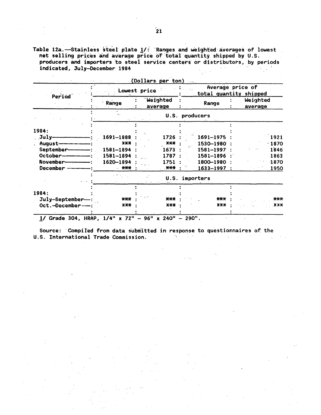Table 12a.—Stainless steel plate 1/: Ranges and weighted averages of lowest<br>net selling prices and average price of total quantity shipped by U.S.<br>producers and importers to steel service centers or distributors, by period indicated, July-December 1984  $\mathcal{A}=\mathcal{A}^{\mathcal{A}}$  .  $\mathcal{L}_{\rm{max}}$  .

| Period          | Lowest price     |         |            |                 | Average price of<br>total quantity shipped |                     |  |
|-----------------|------------------|---------|------------|-----------------|--------------------------------------------|---------------------|--|
|                 | Range            | average | Weighted   | Range           |                                            | Weighted<br>average |  |
|                 | $\ddot{\bullet}$ |         |            | U.S. producers  |                                            |                     |  |
|                 |                  |         |            |                 |                                            |                     |  |
| 1984:           |                  |         |            |                 |                                            |                     |  |
| July-           | 1691-1888        |         | 1726       | 1691-1975       |                                            | 1921                |  |
| August-         | $***$            |         | <b>XXX</b> | 1530-1980       |                                            | $-1870$             |  |
| September-      | 1581-1894        |         | 1673       | 1581-1997       |                                            | 1846                |  |
| October-        | 1581-1894        |         | 1787       | 1581-1896       |                                            | $-1863$             |  |
| November-       | 1620-1894        |         | 1751       | 1800-1980       |                                            | 1870                |  |
| December –      | - ***            |         | ***        | $1633 - 1997$ : |                                            | 1950                |  |
|                 |                  |         | U.S.       | importers       |                                            |                     |  |
|                 |                  |         |            |                 |                                            |                     |  |
| 1984:           |                  |         |            |                 |                                            |                     |  |
| July-September- | ***              |         | ***        | $***$           |                                            | ***                 |  |
| Oct.-December-- | $X+$             |         | $***$      | $X$ $X$ $X$     |                                            | X X X               |  |

Source: Compiled from data submitted in response to questionnaires of the  $\label{eq:3.1} \mathbf{G}(\mathbf{r}) = \mathbf{G}(\mathbf{r},\mathbf{r}) = \mathbf{G}(\mathbf{r},\mathbf{r}) = \mathbf{G}(\mathbf{r},\mathbf{r}) = \mathbf{G}(\mathbf{r},\mathbf{r}) = \mathbf{G}(\mathbf{r},\mathbf{r}) = \mathbf{G}(\mathbf{r},\mathbf{r})$ 

U.S. International Trade Commission.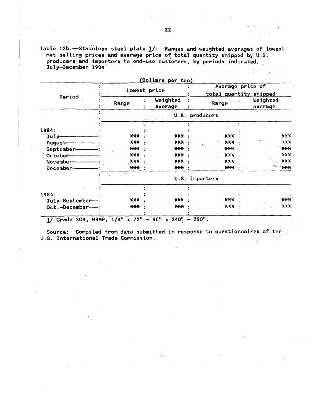Table 12b.-Stainless steel plate 1/: Ranges and weighted averages of lowest net selling prices and average price of total quantity shipped by U.S. producers and importers to end-use customers, by periods indicated, in L July-December 1984

|                                |              | (Dollars per ton)   | Average price of              |                     |
|--------------------------------|--------------|---------------------|-------------------------------|---------------------|
|                                | Lowest price |                     | total quantity shipped        |                     |
| Period                         | Range        | Weighted<br>average | Range                         | Weighted<br>average |
|                                |              |                     | U.S. producers                |                     |
|                                |              |                     |                               |                     |
| 1984:                          | $***$        | $***$               |                               | X X X               |
| July-                          | $***$        | $****$              | $***$<br>$X+X$                | $X-X$               |
| August-<br>September-          | $***$        | $\star\star\star$   | $\ddot{\phantom{0}}$<br>$***$ | $\star\star\star$   |
| October-                       | $***$        | $***$               | $***$                         | <b>XXX</b>          |
| November-                      | ***          | $***$               | ***                           | $X-X$               |
| December-                      | $***$        | $\star\star\star$   | $***$                         | Iτ.<br>$X^*$        |
|                                |              | U.S.                | importers                     |                     |
|                                |              |                     |                               |                     |
| 1984:                          |              |                     |                               |                     |
| July-September-:               | $***$        | $\star\star\star$   | $***$                         | $***$               |
| Oct.-December--                | $***$        | ***                 | $X-X$                         | X X X               |
| 1/ Grade 304, HRAP, 1/4" x 72" |              | $96" \times 240"$   | $-290$ ".                     |                     |

Source: Compiled from data submitted in response to questionnaires of the U.S. International Trade Commission.  $\label{eq:2} \mathcal{L}_{\text{max}} = \mathcal{L}_{\text{max}} + \mathcal{L}_{\text{max}}$  $\mathcal{L}^{(1)}$  $\mathcal{A}_1$ 

 $\sim 10^7$  $1 - 2 + 1 = 1 + 1$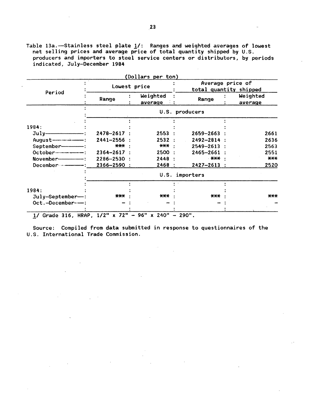Table 13a.—Stainless steel plate  $\underline{\textbf{1}}\prime$ : Ranges and weighted averages of lowest net selling prices and average price of total quantity shipped by U.S. producers and importers to steel service centers or distributors, by periods indicated, July-December 1984

|                         | Lowest price    |                     |                   | Average price of<br>total quantity shipped |  |  |  |
|-------------------------|-----------------|---------------------|-------------------|--------------------------------------------|--|--|--|
| Period                  | Range           | Weighted<br>average | Range             | Weighted<br>average                        |  |  |  |
|                         |                 |                     | U.S. producers    |                                            |  |  |  |
|                         |                 |                     |                   |                                            |  |  |  |
| 1984:                   |                 |                     |                   |                                            |  |  |  |
| $July$ :                | $2478 - 2617$ : | 2553:               | 2659-2663         | 2661                                       |  |  |  |
|                         | 2441-2556       | 2532:               | 2492-2814 :       | 2636                                       |  |  |  |
| September-------        | *** ·           | *** :               | $2549 - 2613$ :   | 2563                                       |  |  |  |
|                         | $2364 - 2617$ : | 2500 :              | $2465 - 2661$ :   | 2551                                       |  |  |  |
| November--------------- | $2286 - 2530$ : | 2448 :              | . *** ·           | $***$                                      |  |  |  |
|                         | 2366-2590 :     | 2468 :              | $2427 - 2613$ :   | 2520                                       |  |  |  |
|                         |                 |                     | U.S. importers    |                                            |  |  |  |
|                         |                 |                     |                   |                                            |  |  |  |
| 1984:                   |                 |                     |                   |                                            |  |  |  |
| $July-September-$ :     | ***             | <b>***</b>          | $\star\star\star$ | $***$                                      |  |  |  |
| Oct.-December---        |                 |                     |                   |                                            |  |  |  |

 $\sim$   $\sim$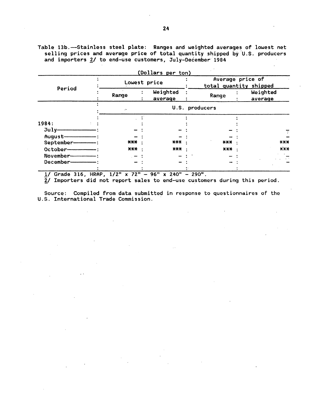Table 13b.-Stainless steel plate: Ranges and weighted averages of lowest net selling prices and average price of total quantity shipped by U.S. producers and importers 2/ to end-use customers, July-December 1984

|                          |                     |  | (Dollars per ton)   |  |                                            |  |                     |
|--------------------------|---------------------|--|---------------------|--|--------------------------------------------|--|---------------------|
| Period                   | Lowest price        |  |                     |  | Average price of<br>total quantity shipped |  |                     |
|                          | Range               |  | Weighted<br>average |  | Range                                      |  | Weighted<br>average |
|                          | ۰,                  |  |                     |  | U.S. producers                             |  |                     |
|                          |                     |  |                     |  |                                            |  |                     |
| 1984:                    |                     |  |                     |  |                                            |  |                     |
|                          |                     |  |                     |  |                                            |  |                     |
|                          |                     |  |                     |  |                                            |  |                     |
| September--------        | $\star\star\star$ . |  | $\star\star\star$   |  | $\star\star\star$                          |  | $\star\star\star$   |
| October--------------    | $X$ $X$ $X$ $Y$     |  | *** ·               |  | $X-X$                                      |  | X X X               |
| November---------------- |                     |  |                     |  |                                            |  |                     |
| December-                |                     |  |                     |  |                                            |  |                     |
|                          |                     |  |                     |  |                                            |  |                     |

 $\mathcal{L}^{\text{max}}_{\text{max}}$ 

!/Grade 316, HRAP, 1/2" x 72" - 96" x 240" - 290".

 $\bar{\mathcal{A}}$ 

~I Importers did not report sales to end-use customers during this period.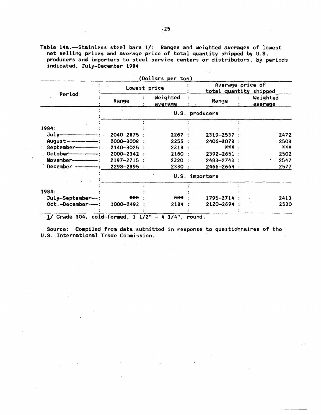Table 14a.-Stainless steel bars  $1/$ : Ranges and weighted averages of lowest net selling prices and average price of total quantity shipped by U.S. producers and importers to steel service centers or distributors, by periods indicated, July-December 1984

 $\sim 10^6$ 

|                                                                                                                                                                                                                                                                                                                                                                                                                                                 | (Dollars per ton)<br>Lowest price |                     |  | Average price of<br>total quantity shipped |  |                     |
|-------------------------------------------------------------------------------------------------------------------------------------------------------------------------------------------------------------------------------------------------------------------------------------------------------------------------------------------------------------------------------------------------------------------------------------------------|-----------------------------------|---------------------|--|--------------------------------------------|--|---------------------|
| Period                                                                                                                                                                                                                                                                                                                                                                                                                                          | Range                             | Weighted<br>average |  | Range                                      |  | Weighted<br>average |
|                                                                                                                                                                                                                                                                                                                                                                                                                                                 |                                   |                     |  | U.S. producers                             |  |                     |
|                                                                                                                                                                                                                                                                                                                                                                                                                                                 |                                   |                     |  |                                            |  |                     |
| 1984:                                                                                                                                                                                                                                                                                                                                                                                                                                           |                                   |                     |  |                                            |  |                     |
| $\overline{\mathrm{July}}$ = $\overline{\phantom{a}}$ = $\overline{\phantom{a}}$ = $\overline{\phantom{a}}$ = $\overline{\phantom{a}}$ = $\overline{\phantom{a}}$ = $\overline{\phantom{a}}$ = $\overline{\phantom{a}}$ = $\overline{\phantom{a}}$ = $\overline{\phantom{a}}$ = $\overline{\phantom{a}}$ = $\overline{\phantom{a}}$ = $\overline{\phantom{a}}$ = $\overline{\phantom{a}}$ = $\overline{\phantom{a}}$ = $\overline{\phantom{a}}$ | 2040-2875 :                       | 2267:               |  | 2319-2537                                  |  | 2472                |
| $August$ $\qquad$ $\qquad$ $\qquad$ $\qquad$ $\qquad$ $\qquad$ $\qquad$ $\qquad$ $\qquad$ $\qquad$ $\qquad$ $\qquad$ $\qquad$ $\qquad$ $\qquad$ $\qquad$ $\qquad$ $\qquad$ $\qquad$ $\qquad$ $\qquad$ $\qquad$ $\qquad$ $\qquad$ $\qquad$ $\qquad$ $\qquad$ $\qquad$ $\qquad$ $\qquad$ $\qquad$ $\qquad$ $\qquad$ $\qquad$ $\qquad$ $\qquad$                                                                                                    | 2000-3008 :                       | 2255:               |  | 2406-3073                                  |  | 2503                |
| September--------------                                                                                                                                                                                                                                                                                                                                                                                                                         | $2140 - 3025$ :                   | 2318:               |  | <b>***</b> :                               |  | $***$               |
| October------------                                                                                                                                                                                                                                                                                                                                                                                                                             | 2000-2342 :                       | 2160 :              |  | 2392-2651 :                                |  | 2502                |
| November-----------------                                                                                                                                                                                                                                                                                                                                                                                                                       | $2197 - 2715$ :                   | 2320:               |  | 2483-2743 :                                |  | 2547                |
| December $   \cdot$ $\cdot$                                                                                                                                                                                                                                                                                                                                                                                                                     | $2298 - 2395$ :                   | 2330 :              |  | 2466-2664 :                                |  | 2577                |
|                                                                                                                                                                                                                                                                                                                                                                                                                                                 |                                   |                     |  | U.S. importers                             |  |                     |
|                                                                                                                                                                                                                                                                                                                                                                                                                                                 |                                   |                     |  |                                            |  |                     |
| 1984:                                                                                                                                                                                                                                                                                                                                                                                                                                           |                                   |                     |  |                                            |  |                     |
| July-September--:                                                                                                                                                                                                                                                                                                                                                                                                                               | ***                               | ***                 |  | 1795-2714                                  |  | 2413                |
| $Oct.-December--:$                                                                                                                                                                                                                                                                                                                                                                                                                              | 1000-2493                         | 2184:               |  | 2120-2694 :                                |  | 2530                |

 $1/$  Grade 304, cold-formed,  $1 1/2" - 4 3/4"$ , round.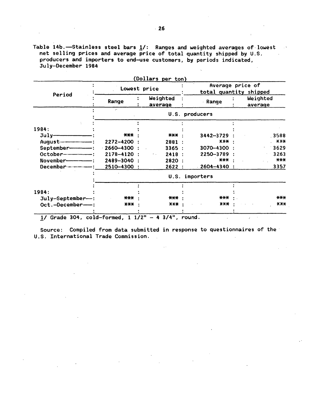Table 14b.-Stainless steel bars 1/: Ranges and weighted averages of lowest net selling prices and average price of total quantity shipped by U.S.  $\sim 100$ producers and importers to end-use customers, by periods indicated, July-December 1984

| Period                | Lowest price              |                                  | (Dollars per ton) | Average price of<br>total quantity shipped |  |  |  |
|-----------------------|---------------------------|----------------------------------|-------------------|--------------------------------------------|--|--|--|
|                       | Range                     | Weighted<br>average              | Range             | Weighted<br>average                        |  |  |  |
|                       | $\mathbf{r}^{\mathbf{w}}$ |                                  | U.S. producers    |                                            |  |  |  |
|                       |                           |                                  |                   |                                            |  |  |  |
| 1984:                 |                           |                                  |                   |                                            |  |  |  |
|                       | $***$                     | *** :                            | $3442 - 3729$ :   | 3588                                       |  |  |  |
|                       | 2272-4200                 | 2881:                            | <b>XXX</b>        | $\mathbf{X}$ XX-X                          |  |  |  |
| September------       | $-2660 - 4300$ :          | 3365:                            | 3070-4300 :       | 3629                                       |  |  |  |
| October-------------- | $2178 - 4120$ :           | 2418:<br>$\mathbf{A}=\mathbf{A}$ | 2250-3789 :       | 3263                                       |  |  |  |
|                       | 2489-3040                 | 2820 :                           | ***               | $***$                                      |  |  |  |
| $December$ $--  -$    | 2510-4300:                | 2622 :                           | $2604 - 4340$ :   | 3357                                       |  |  |  |
|                       |                           |                                  | U.S. importers    |                                            |  |  |  |
|                       |                           |                                  |                   |                                            |  |  |  |
| 1984:                 |                           |                                  |                   |                                            |  |  |  |
| $July-September-$ :   | ***                       | *** ·                            | *** ·             | $***$                                      |  |  |  |
| Oct.-December--       | $\star\star\star$         | $***$ :                          | $X-X-X$           | X X X                                      |  |  |  |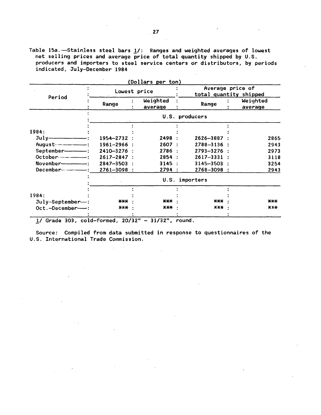Table 15a.—Stainless steel bars  $1/$ : Ranges and weighted averages of lowest net selling prices and average price of total quantity shipped by U.S. producers and importers to steel service centers or distributors, by periods indicated, July-December 1984

|                          |                   |              | (Dollars per ton)   |                                            |  |                     |
|--------------------------|-------------------|--------------|---------------------|--------------------------------------------|--|---------------------|
| Period                   |                   | Lowest price |                     | Average price of<br>total quantity shipped |  |                     |
|                          | Range             |              | Weighted<br>average | Range                                      |  | Weighted<br>average |
|                          |                   |              |                     | U.S. producers                             |  |                     |
|                          |                   |              |                     |                                            |  |                     |
| 1984:                    |                   |              |                     |                                            |  |                     |
| $July$ $\longrightarrow$ | $1954 - 2732$ :   |              | 2498 :              | 2626-3887 :                                |  | 2865                |
|                          | $1961 - 2966$ :   |              | 2607:               | $2788 - 3136$ :                            |  | 2943                |
| September-------         | 2410-3276 :       |              | 2786:               | $2793 - 3276$ :                            |  | 2973                |
|                          | $2617 - 2847$ :   |              | 2854:               | $2617 - 3331$ :                            |  | 3118                |
| $November$ $-$           | $2847 - 3503$ :   |              | 3145:               | $3145 - 3503$ :                            |  | 3254                |
|                          | $2761 - 3098$ :   |              | 2794:               | $2768 - 3098$ :                            |  | 2943                |
|                          |                   |              | U.S.                | importers                                  |  |                     |
|                          |                   |              |                     |                                            |  |                     |
| 1984:                    |                   |              |                     |                                            |  |                     |
| $July-September-$ :      | ***               |              | ***                 | $***$                                      |  | $***$               |
| Oct.-December--          | $\star\star\star$ |              | <b>XXX</b>          | <b>XXX</b>                                 |  | X X X               |
|                          |                   |              |                     |                                            |  |                     |

1/ Grade 303, cold-formed, 20/32" - 31/32", round.

 $\mathcal{L}_{\mathcal{A}}$ 

 $\sim$   $\sim$ 

Source: Compiled from data submitted in response to questionnaires of the U.S. International Trade Commission.

 $\ddot{\phantom{a}}$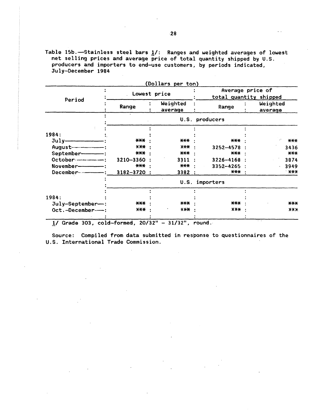Table 15b.-Stainless steel bars  $1/$ : Ranges and weighted averages of lowest net selling prices and average price of total quantity shipped by U.S. producers and importers to end-use customers, by periods indicated, July-December 1984

|                         |                            | (Dollars per ton)   |                     |                                            |  |  |
|-------------------------|----------------------------|---------------------|---------------------|--------------------------------------------|--|--|
| Period                  |                            | Lowest price        |                     | Average price of<br>total quantity shipped |  |  |
|                         | Range                      | Weighted<br>average | Range               | Weighted<br>average                        |  |  |
|                         |                            |                     | U.S. producers      |                                            |  |  |
|                         |                            |                     |                     |                                            |  |  |
| 1984:                   |                            |                     |                     |                                            |  |  |
|                         | $\star\star\star$          | $***$               | $***$               | $***$                                      |  |  |
|                         | $***$<br>X <del>XX</del> . |                     | 3252-4578           | 3436                                       |  |  |
| September-------        | *** ·                      | *** :               | $\star\star\star$ . | $***$                                      |  |  |
| October ------------    | 3210-3360                  | 3311:               | $3226 - 4168$ :     | 3874                                       |  |  |
| November--------------- | $***.$                     | *** :               | $3352 - 4265$ :     | 3949                                       |  |  |
|                         | $3182 - 3720$ :            | 3382 :              | *** :               | <b>XXX</b>                                 |  |  |
|                         |                            |                     | U.S. importers      |                                            |  |  |
|                         |                            |                     |                     |                                            |  |  |
| 1984:                   |                            |                     |                     |                                            |  |  |
| July-September-:        | $\star\star\star$          | ***                 | $***$               | $***$                                      |  |  |
| Oct.-December--         | <b>X-X-X</b>               | $X+Y$               | $X X +$             | $X+X$                                      |  |  |
|                         |                            |                     |                     |                                            |  |  |

!/Grade 303, cold-formed, 20/32" - 31/32", round.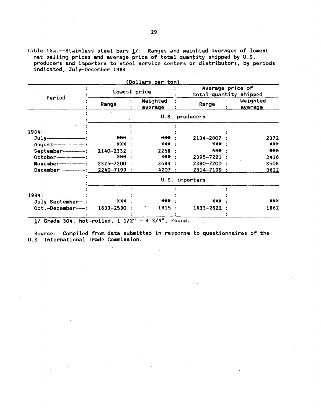Table 16a.—Stainless steel bars  $1/$ : Ranges and weighted averages of lowest net selling prices and average price of total quantity shipped by U.S. producers and importers to steel service centers or distributors, by periods indicated, July-December 1984

|                               | Lowest price         | Average price of<br>total quantity shipped |                    |       |                     |
|-------------------------------|----------------------|--------------------------------------------|--------------------|-------|---------------------|
| Period                        | Range                | Weighted<br>average                        | Range              |       | Weighted<br>average |
|                               | $\ddot{\phantom{a}}$ |                                            | U.S. producers     |       |                     |
|                               |                      |                                            |                    |       |                     |
| 1984:                         |                      |                                            |                    |       |                     |
|                               | ***                  | ***                                        | 2134-2807          |       | 2372                |
| August----------------------- | ***                  | X X X<br>$***$                             |                    |       | $***$               |
| September-----------          | $2140 - 2332$ :      | 2258 :                                     |                    | *** · | ***                 |
|                               | $X+X$                | $X+X$                                      | 2395-7221 :        |       | 3416                |
| November---------------       | 2325-7200            | 3683                                       | 2380-7200:         |       | 3508                |
| December -------------        | 2240-7199 :          | 4207                                       | 2314-7199 :<br>- 1 |       | 3622                |
|                               |                      |                                            | U.S. importers     |       |                     |
|                               |                      |                                            |                    |       |                     |
| 1984:                         |                      |                                            |                    |       |                     |
| $July-September--:$           | $***$                | $***$                                      | $***$              |       | $***$               |
| Oct.-December--               | $1633 - 2580$ :      | 1815                                       | $1633 - 2622$ :    |       | 1862                |
|                               |                      |                                            |                    |       |                     |

(Dollars per ton)

 $1/$  Grade 304, hot-rolled,  $1 \frac{1}{2^{1}} - 4 \frac{3}{4^{1}}$ , round.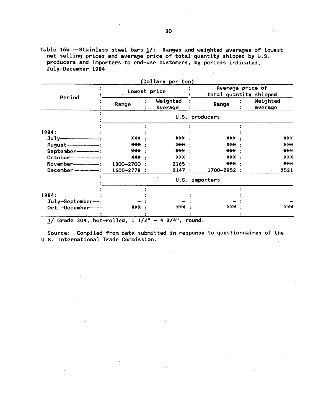Table 16b.-Stainless steel bars  $1/$ : Ranges and weighted averages of lowest net selling prices and average price of total quantity shipped by U.S. producers and importers to end-use customers, by periods indicated, July-December 1984

|                                         | Lowest price | (Dollars per ton)   |                | Average price of<br>total quantity shipped |  |  |
|-----------------------------------------|--------------|---------------------|----------------|--------------------------------------------|--|--|
| Period                                  | Range        | Weighted<br>average | Range          | Weighted<br>average                        |  |  |
|                                         |              |                     | U.S. producers |                                            |  |  |
|                                         |              |                     |                |                                            |  |  |
| 1984:<br>$July$ = $\qquad$ = $\qquad$ : | $***$        | ***                 | $***$          | $***$                                      |  |  |
|                                         | ***          | *** ·               | $X+Y$          | $***$                                      |  |  |
| September--------                       | $***$        | *** :               | $***$          | $***$                                      |  |  |
| October-----------------                | $***$        | *** ·               | $X-X$          | $X-X$                                      |  |  |
|                                         | 1800-2700:   | 2165:               | ***            | $***$                                      |  |  |
| $December-----$                         | 1600-2778 :  | 2147:               | 1700-2952 :    | 2521                                       |  |  |
|                                         |              | U.S.                | importers      |                                            |  |  |
|                                         |              |                     |                |                                            |  |  |
| 1984:                                   |              |                     |                |                                            |  |  |
| July-September--:                       |              |                     |                |                                            |  |  |
| Oct.-December--                         | <b>XXX</b>   | X <del>XX</del>     | $X-X$ :        | $X X +$                                    |  |  |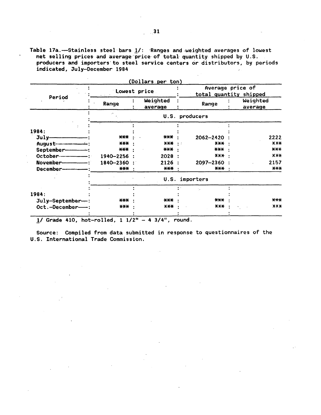Table 17a. -- Stainless steel bars 1/: Ranges and weighted averages of lowest net selling prices and average price of total quantity shipped by U.S. producers and importers to steel service centers or distributors, by periods indicated, July-December 1984

|                        |                                    | <u>(Dollars per ton)</u> |                   | Average price of       |
|------------------------|------------------------------------|--------------------------|-------------------|------------------------|
|                        | Lowest price                       |                          |                   | total quantity shipped |
| Period                 | Range                              | Weighted<br>average      | Range             | Weighted<br>average    |
|                        |                                    |                          | U.S. producers    |                        |
|                        |                                    |                          |                   |                        |
| 1984:                  |                                    |                          |                   |                        |
| $July-$                | $\star\!\!\star\!\!\star\!\!\star$ | ***                      | 2062-2420         | 2222                   |
| August-                | $\star\star\star$                  | $X$ $X$ $X$              | $X+X$<br>- 15     | X X X                  |
|                        | $\star\!\star\!\star$              | ***                      | $***$             | $***$                  |
|                        | 1940-2256                          | 2028                     | $X$ $X$ $X$       | X X X                  |
| November-------------- | 1840-2360                          | 2126                     | 2097-2360         | 2157                   |
|                        | <b>***</b>                         | *** :                    | *** :             | $***$                  |
|                        |                                    |                          | U.S. importers    |                        |
|                        |                                    |                          |                   |                        |
| 1984:                  |                                    |                          |                   |                        |
| $July-September-$ :    | $***$                              | ***                      | $***$             | $***$                  |
| Oct.-December--        | $***$                              | $X+Y$                    | $\star\star\star$ | $X-X$                  |
|                        |                                    |                          |                   |                        |

1/ Grade 410, hot-rolled,  $1 \frac{1}{2}$  - 4 3/4", round.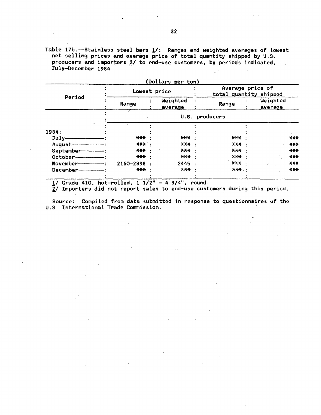Table 17b. - Stainless steel bars 1/: Ranges and weighted averages of lowest net selling prices and average price of total quantity shipped by U.S.  $\sim$ producers and importers 2/ to end-use customers, by periods indicated, July-December 1984  $\frac{1}{2}$  .

|                              | Lowest price      |           |                     | Average price of<br>total quantity shipped |           |                     |             |
|------------------------------|-------------------|-----------|---------------------|--------------------------------------------|-----------|---------------------|-------------|
| Period                       | Range             |           | Weighted<br>average | Range                                      |           | Weighted<br>average |             |
|                              |                   |           |                     | U.S. producers                             |           |                     |             |
|                              |                   |           |                     |                                            |           |                     |             |
| 1984:                        |                   |           |                     |                                            |           |                     |             |
| $July$ —————                 | $***$             |           | $\star\star\star$   | $***$                                      |           |                     | $***$       |
| August---------------------- | *** :             |           | *** :               | X X X                                      | $\bullet$ |                     | $X$ $X$ $X$ |
| September-----               | $***$             |           | *** :               | $***$                                      |           |                     | $***$       |
| October-------------         | $\star\star\star$ | $\bullet$ | $***$               | $X$ $X+$                                   |           |                     | $X+X$       |
| November--------------       | 2160-2898         |           | 2445 :              | *** ·                                      |           |                     | $***$       |
| December--------------       | <b>XXX</b>        |           | X X X               | <b>XXX </b>                                |           |                     | $X$ $X$ $X$ |
|                              |                   |           |                     |                                            |           |                     |             |

1/ Grade 410, hot-rolled,  $1 \frac{1}{2^n} - 4 \frac{3}{4^n}$ , round.

2/ Importers did not report sales to end-use customers during this period.

Source: Compiled from data submitted in response to questionnaires of the U.S. International Trade Commission.

Alberta Card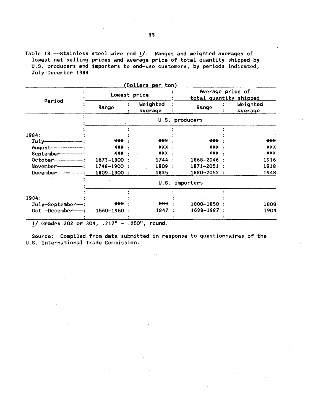Table 18.-Stainless steel wire rod  $1/$ : Ranges and weighted averages of lowest net selling prices and average price of total quantity shipped by U.S. producers and importers to end-use customers, by periods indicated, July-December 1984

|                 | Average price of<br>total quantity shipped |                              |                                                                                       |                                                                                                        |
|-----------------|--------------------------------------------|------------------------------|---------------------------------------------------------------------------------------|--------------------------------------------------------------------------------------------------------|
| Range           | Weighted<br>average                        | Range                        |                                                                                       | Weighted<br>average                                                                                    |
| ò,              |                                            |                              |                                                                                       |                                                                                                        |
|                 |                                            |                              |                                                                                       |                                                                                                        |
|                 |                                            |                              |                                                                                       |                                                                                                        |
|                 |                                            |                              |                                                                                       | $***$                                                                                                  |
|                 |                                            |                              |                                                                                       | X X X                                                                                                  |
| *** ·           |                                            |                              |                                                                                       | $***$                                                                                                  |
| $1673 - 1800$ : |                                            |                              |                                                                                       | 1916                                                                                                   |
| 1748-1900 :     |                                            |                              |                                                                                       | 1918                                                                                                   |
| 1809-1900 :     |                                            |                              |                                                                                       | 1948                                                                                                   |
|                 |                                            |                              |                                                                                       |                                                                                                        |
|                 |                                            |                              |                                                                                       |                                                                                                        |
|                 |                                            |                              |                                                                                       |                                                                                                        |
| ***             |                                            |                              |                                                                                       | 1808                                                                                                   |
| $1560 - 1960$ : |                                            |                              |                                                                                       | 1904                                                                                                   |
|                 | ***<br>$***$                               | Lowest price<br>***<br>$X+Y$ | U.S. producers<br>*** :<br>1744:<br>1809 :<br>1835:<br>U.S. importers<br>***<br>1847: | $***$<br>X X X<br>*** ·<br>1868-2046 :<br>$1871 - 2051$ :<br>1880-2052 :<br>1800-1850 :<br>1688-1987 : |

 $\sim$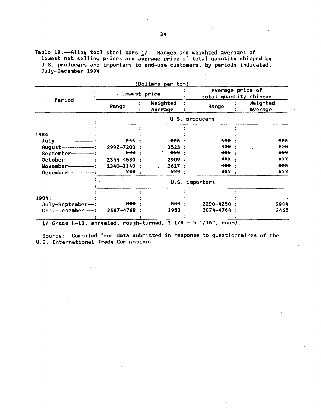Table 19.--Alloy tool steel bars  $1/$ : Ranges and weighted averages of lowest net selling prices and average price of total quantity shipped by U.S. producers and importers to end-use customers, by periods indicated, July-December 1984

|                         |                   |  | Dollars per ton)    |  |                                            |  |                     |  |  |  |
|-------------------------|-------------------|--|---------------------|--|--------------------------------------------|--|---------------------|--|--|--|
| Period                  | Lowest price      |  |                     |  | Average price of<br>total quantity shipped |  |                     |  |  |  |
|                         | Range             |  | Weighted<br>average |  | Range                                      |  | Weighted<br>average |  |  |  |
|                         | U.S. producers    |  |                     |  |                                            |  |                     |  |  |  |
|                         |                   |  |                     |  |                                            |  |                     |  |  |  |
| 1984:                   |                   |  |                     |  |                                            |  |                     |  |  |  |
| $July-$                 | ***               |  | $\star\star\star$   |  | $***$                                      |  | $***$               |  |  |  |
| $August$ $-$            | 2992-7200         |  | 3523:               |  | $X X +$                                    |  | X X X               |  |  |  |
| September-------        | ***               |  | $***$               |  | $***$                                      |  | $***$               |  |  |  |
| October---------------- | 2344-4580 :       |  | 2909 :              |  | $X+X$                                      |  | $X+X$               |  |  |  |
| November--------------  | 2340-3140         |  | 2627:               |  | $***$                                      |  | $***$               |  |  |  |
|                         | $\star\star\star$ |  | *** :               |  | $***$                                      |  | $***$               |  |  |  |
|                         |                   |  |                     |  | U.S. importers                             |  |                     |  |  |  |
|                         |                   |  |                     |  |                                            |  |                     |  |  |  |
| 1984:                   |                   |  |                     |  |                                            |  |                     |  |  |  |
| $July-September-$ :     | $***$             |  | ***                 |  | 2290-4250                                  |  | 2984                |  |  |  |
| Oct.-December--         | 2587-4769         |  | 3953                |  | 2874-4764                                  |  | 3465                |  |  |  |
|                         |                   |  |                     |  |                                            |  |                     |  |  |  |

 $(0, 0)$ 

*11* Grade H-13, annealed, rough-turned, 3 1/8 - 5 1/16", round.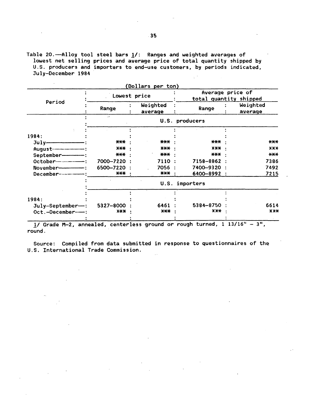Table 20.--Alloy tool steel bars  $1/$ : Ranges and weighted averages of lowest net selling prices and average price of total quantity shipped by U.S. producers and importers to end-use customers, by periods indicated, July-December 1984  $\chi^{-1}$ 

|                         |                   | (Dollars per ton)   |                     |                                            |  |  |
|-------------------------|-------------------|---------------------|---------------------|--------------------------------------------|--|--|
|                         | Lowest price      |                     |                     | Average price of<br>total quantity shipped |  |  |
| Period                  | Range             | Weighted<br>average | Range               | Weighted<br>average                        |  |  |
|                         | ò.                |                     | U.S. producers      |                                            |  |  |
|                         |                   |                     |                     |                                            |  |  |
| 1984:                   |                   |                     |                     |                                            |  |  |
| $July$ — — — — — :      | $\star\star\star$ | ***                 | $\star\star\star$   | $***$                                      |  |  |
|                         | x <del>xx</del> : | <b>XXX ·</b>        | $X-X$               | $X-X$                                      |  |  |
| September--------       | *** :             | $***$               | $\star\star\star$ . | $***$                                      |  |  |
|                         | 7000-7220:        | 7110 :              | 7158-8862 :         | 7386                                       |  |  |
|                         | 6500-7220 :       | 7056 :              | 7400-9320:          | 7492                                       |  |  |
| December--------------- | ***               | <b>XXX :</b>        | 6400-8992 :         | 7215                                       |  |  |
|                         |                   |                     | U.S. importers      |                                            |  |  |
|                         |                   |                     |                     |                                            |  |  |
| 1984:                   |                   |                     |                     |                                            |  |  |
| $July-September-$ :     | 5327-8000         | 6461                | 5384-8750           | 6614                                       |  |  |
| Oct.-December---        | $X+X$             | ***                 | $X$ $X+$            | X X X                                      |  |  |

!/Grade M-2, annealed, centerless ground or rough turned, 1 13/16" - 311 , round.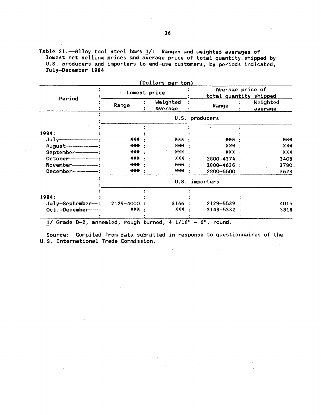Table 21.-Alloy tool steel bars  $1/$ : Ranges and weighted averages of lowest net selling prices and average price of total quantity shipped by U.S. producers and importers to end-use customers, by periods indicated, July-December 1984

|                         |              | (Dollars per ton)   |       |                                            |  |                     |
|-------------------------|--------------|---------------------|-------|--------------------------------------------|--|---------------------|
| Period                  | Lowest price |                     |       | Average price of<br>total quantity shipped |  |                     |
|                         | Range        | Weighted<br>average |       | Range                                      |  | Weighted<br>average |
|                         |              |                     |       | U.S. producers                             |  |                     |
|                         |              |                     |       |                                            |  |                     |
| 1984:                   |              |                     |       |                                            |  |                     |
|                         | ***          | ***                 |       | $***$                                      |  | $***$               |
|                         | $X$ $X$ $X$  | $X+$                |       | X X X                                      |  | X X X               |
| September------         | ***          | ***                 |       | ***                                        |  | $***$               |
|                         | $***$        |                     | $X+$  | 2800-4374 :                                |  | 3406                |
| $November$ $-$          | ***          |                     | *** : | 2800-4636 :                                |  | 3780                |
| December--------------- | ***          | $***$               |       | 2800-5500                                  |  | 3623                |
|                         |              |                     | U.S.  | importers                                  |  |                     |
|                         |              |                     |       |                                            |  |                     |
| 1984:                   |              |                     |       |                                            |  |                     |
| $July-September-$ :     | 2129-4000    | 3166                |       | 2129-5539                                  |  | 4015                |
| Oct.-December--         | $X-X+$       | $x + x$             |       | $3143 - 5332$ :                            |  | 3818                |
|                         |              |                     |       |                                            |  |                     |

 $1/$  Grade D-2, annealed, rough turned, 4  $1/16" - 6"$ , round.

 $\sim$   $\sim$ 

 $\mathbb{R}^2$ 

Source: Compiled from data submitted in response to questionnaires of the U.S. International Trade Commission.

 $\sim$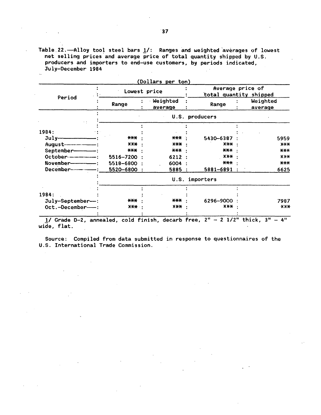Table 22. - Alloy tool steel bars  $1/$ : Ranges and weighted averages of lowest net selling prices and average price of total quantity shipped by U.S. producers and importers to end-use customers, by periods indicated, July-December 1984

|                               | Lowest price | (Dollars per ton)<br>Average price of<br>total quantity shipped |                |  |                     |
|-------------------------------|--------------|-----------------------------------------------------------------|----------------|--|---------------------|
| Period                        | Range        | Weighted<br>average                                             | Range          |  | Weighted<br>average |
|                               |              |                                                                 | U.S. producers |  |                     |
|                               |              |                                                                 |                |  |                     |
| 1984:                         |              |                                                                 |                |  |                     |
|                               | ***          | $***$                                                           | 5430-6387      |  | 5959                |
| August----------------------- | X X X        | $X+X$                                                           | $X+X$          |  | $X+X$               |
| September----------           | $***$        | $***$                                                           | $***$          |  | $***$               |
| October-------------          | 5516-7200 :  | 6212:                                                           | XXX            |  | <b>XXX</b>          |
| November--------------        | 5518-6800 :  | 6004 :                                                          | ***            |  | $***$               |
| December--------------        | 5520-6800 :  | 5885 :                                                          | 5881-6891 :    |  | 6625                |
|                               |              |                                                                 | U.S. importers |  |                     |
|                               |              |                                                                 |                |  |                     |
| 1984:                         |              |                                                                 |                |  |                     |
| July-September--:             | ***          | $***$                                                           | 6296-9000      |  | 7987                |
| Oct.-December-                | $X+Y$        | $X+X$                                                           | XX-X           |  | $X$ $X$ $X$         |

 $1/$  Grade D-2, annealed, cold finish, decarb free,  $2'' - 2$   $1/2''$  thick, 3 wide, flat.